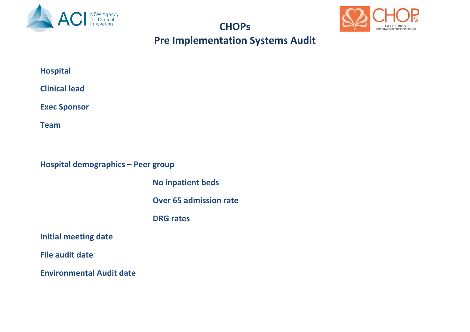

#### **CHOPs**



### **Pre Implementation Systems Audit**

| <b>Hospital</b> |
|-----------------|
|-----------------|

**Clinical lead**

**Exec Sponsor**

**Team**

**Hospital demographics – Peer group**

 **No inpatient beds**

 **Over 65 admission rate**

 **DRG rates**

**Initial meeting date** 

**File audit date**

**Environmental Audit date**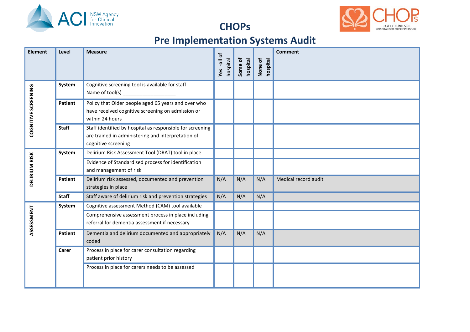



#### **CHOPs**

# **Pre Implementation Systems Audit**

| <b>Element</b>      | Level          | <b>Measure</b>                                                                                                                         | đ<br>hospital<br>$\overline{\mathbb{F}}$ -<br>Yes | ৳<br>hospital<br>Some | None of<br>hospital | <b>Comment</b>       |
|---------------------|----------------|----------------------------------------------------------------------------------------------------------------------------------------|---------------------------------------------------|-----------------------|---------------------|----------------------|
| COGNITIVE SCREENING | System         | Cognitive screening tool is available for staff<br>Name of tool(s) ____________________                                                |                                                   |                       |                     |                      |
|                     | <b>Patient</b> | Policy that Older people aged 65 years and over who<br>have received cognitive screening on admission or<br>within 24 hours            |                                                   |                       |                     |                      |
|                     | <b>Staff</b>   | Staff identified by hospital as responsible for screening<br>are trained in administering and interpretation of<br>cognitive screening |                                                   |                       |                     |                      |
| DELIRIUM RISK       | System         | Delirium Risk Assessment Tool (DRAT) tool in place                                                                                     |                                                   |                       |                     |                      |
|                     |                | Evidence of Standardised process for identification<br>and management of risk                                                          |                                                   |                       |                     |                      |
|                     | <b>Patient</b> | Delirium risk assessed, documented and prevention<br>strategies in place                                                               | N/A                                               | N/A                   | N/A                 | Medical record audit |
|                     | <b>Staff</b>   | Staff aware of delirium risk and prevention strategies                                                                                 | N/A                                               | N/A                   | N/A                 |                      |
|                     | System         | Cognitive assessment Method (CAM) tool available                                                                                       |                                                   |                       |                     |                      |
| ASSESSMENT          |                | Comprehensive assessment process in place including<br>referral for dementia assessment if necessary                                   |                                                   |                       |                     |                      |
|                     | <b>Patient</b> | Dementia and delirium documented and appropriately<br>coded                                                                            | N/A                                               | N/A                   | N/A                 |                      |
|                     | Carer          | Process in place for carer consultation regarding<br>patient prior history                                                             |                                                   |                       |                     |                      |
|                     |                | Process in place for carers needs to be assessed                                                                                       |                                                   |                       |                     |                      |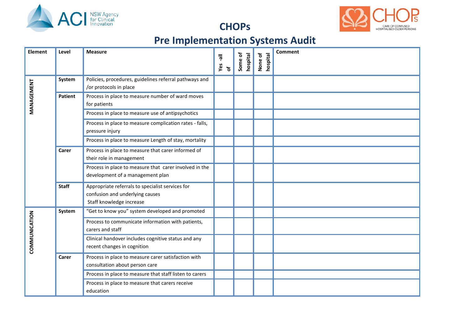

**CHOPs**



# **Pre Implementation Systems Audit**

| <b>Element</b> | Level        | <b>Measure</b>                                                                                                  | ᄛ<br>Yes<br>$\mathbf{r}$ | ቴ<br>hospital<br>Some | None of<br>hospital | <b>Comment</b> |
|----------------|--------------|-----------------------------------------------------------------------------------------------------------------|--------------------------|-----------------------|---------------------|----------------|
| MANAGEMENT     | System       | Policies, procedures, guidelines referral pathways and<br>/or protocols in place                                |                          |                       |                     |                |
|                | Patient      | Process in place to measure number of ward moves<br>for patients                                                |                          |                       |                     |                |
|                |              | Process in place to measure use of antipsychotics                                                               |                          |                       |                     |                |
|                |              | Process in place to measure complication rates - falls,<br>pressure injury                                      |                          |                       |                     |                |
|                |              | Process in place to measure Length of stay, mortality                                                           |                          |                       |                     |                |
|                | Carer        | Process in place to measure that carer informed of<br>their role in management                                  |                          |                       |                     |                |
|                |              | Process in place to measure that carer involved in the<br>development of a management plan                      |                          |                       |                     |                |
|                | <b>Staff</b> | Appropriate referrals to specialist services for<br>confusion and underlying causes<br>Staff knowledge increase |                          |                       |                     |                |
| COMMUNICATION  | System       | "Get to know you" system developed and promoted                                                                 |                          |                       |                     |                |
|                |              | Process to communicate information with patients,<br>carers and staff                                           |                          |                       |                     |                |
|                |              | Clinical handover includes cognitive status and any<br>recent changes in cognition                              |                          |                       |                     |                |
|                | Carer        | Process in place to measure carer satisfaction with<br>consultation about person care                           |                          |                       |                     |                |
|                |              | Process in place to measure that staff listen to carers                                                         |                          |                       |                     |                |
|                |              | Process in place to measure that carers receive<br>education                                                    |                          |                       |                     |                |